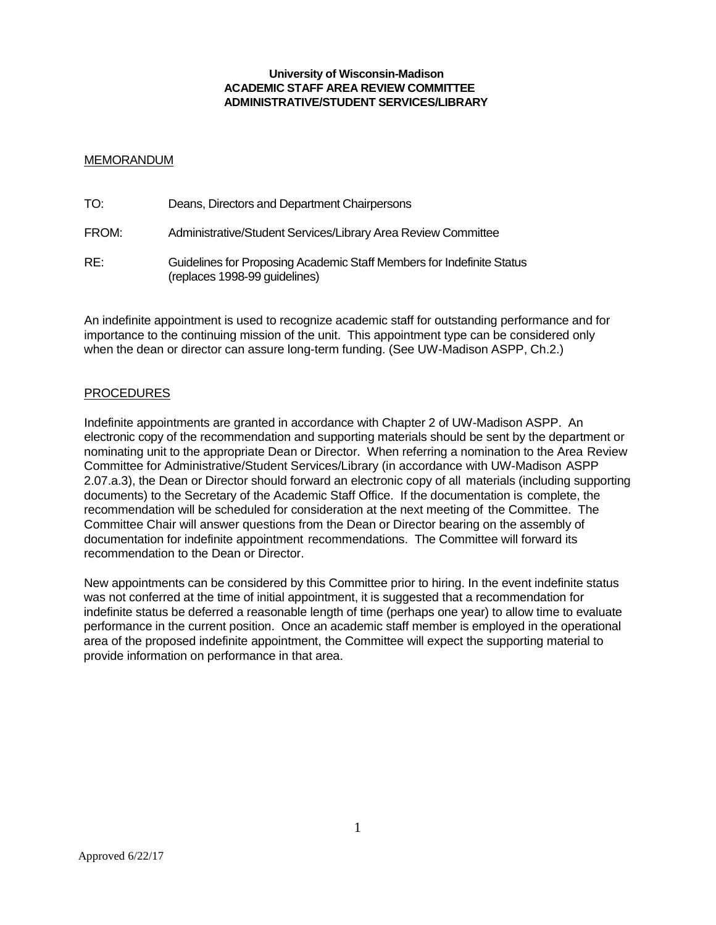#### **University of Wisconsin-Madison ACADEMIC STAFF AREA REVIEW COMMITTEE ADMINISTRATIVE/STUDENT SERVICES/LIBRARY**

## MEMORANDUM

| TO:   | Deans, Directors and Department Chairpersons                                                           |
|-------|--------------------------------------------------------------------------------------------------------|
| FROM: | Administrative/Student Services/Library Area Review Committee                                          |
| RE:   | Guidelines for Proposing Academic Staff Members for Indefinite Status<br>(replaces 1998-99 guidelines) |

An indefinite appointment is used to recognize academic staff for outstanding performance and for importance to the continuing mission of the unit. This appointment type can be considered only when the dean or director can assure long-term funding. (See UW-Madison ASPP, Ch.2.)

## PROCEDURES

Indefinite appointments are granted in accordance with Chapter 2 of UW-Madison ASPP. An electronic copy of the recommendation and supporting materials should be sent by the department or nominating unit to the appropriate Dean or Director. When referring a nomination to the Area Review Committee for Administrative/Student Services/Library (in accordance with UW-Madison ASPP 2.07.a.3), the Dean or Director should forward an electronic copy of all materials (including supporting documents) to the Secretary of the Academic Staff Office. If the documentation is complete, the recommendation will be scheduled for consideration at the next meeting of the Committee. The Committee Chair will answer questions from the Dean or Director bearing on the assembly of documentation for indefinite appointment recommendations. The Committee will forward its recommendation to the Dean or Director.

New appointments can be considered by this Committee prior to hiring. In the event indefinite status was not conferred at the time of initial appointment, it is suggested that a recommendation for indefinite status be deferred a reasonable length of time (perhaps one year) to allow time to evaluate performance in the current position. Once an academic staff member is employed in the operational area of the proposed indefinite appointment, the Committee will expect the supporting material to provide information on performance in that area.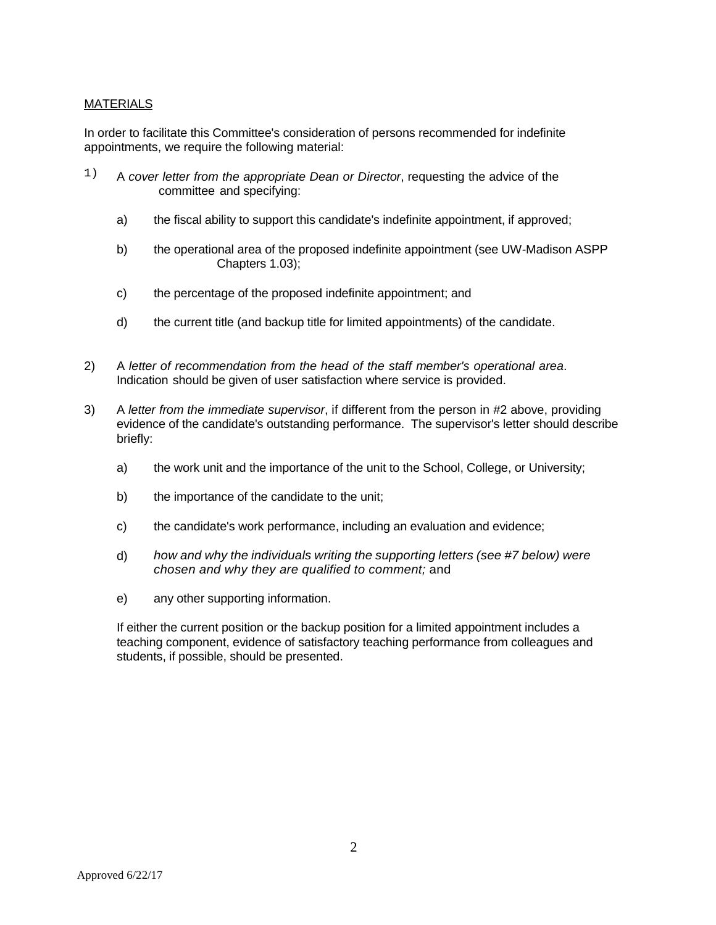# MATERIALS

In order to facilitate this Committee's consideration of persons recommended for indefinite appointments, we require the following material:

- 1) A *cover letter from the appropriate Dean or Director*, requesting the advice of the committee and specifying:
	- a) the fiscal ability to support this candidate's indefinite appointment, if approved;
	- b) the operational area of the proposed indefinite appointment (see UW-Madison ASPP Chapters 1.03);
	- c) the percentage of the proposed indefinite appointment; and
	- d) the current title (and backup title for limited appointments) of the candidate.
- 2) A *letter of recommendation from the head of the staff member's operational area*. Indication should be given of user satisfaction where service is provided.
- 3) A *letter from the immediate supervisor*, if different from the person in #2 above, providing evidence of the candidate's outstanding performance. The supervisor's letter should describe briefly:
	- a) the work unit and the importance of the unit to the School, College, or University;
	- b) the importance of the candidate to the unit;
	- c) the candidate's work performance, including an evaluation and evidence;
	- d) *how and why the individuals writing the supporting letters (see #7 below) were chosen and why they are qualified to comment;* and
	- e) any other supporting information.

If either the current position or the backup position for a limited appointment includes a teaching component, evidence of satisfactory teaching performance from colleagues and students, if possible, should be presented.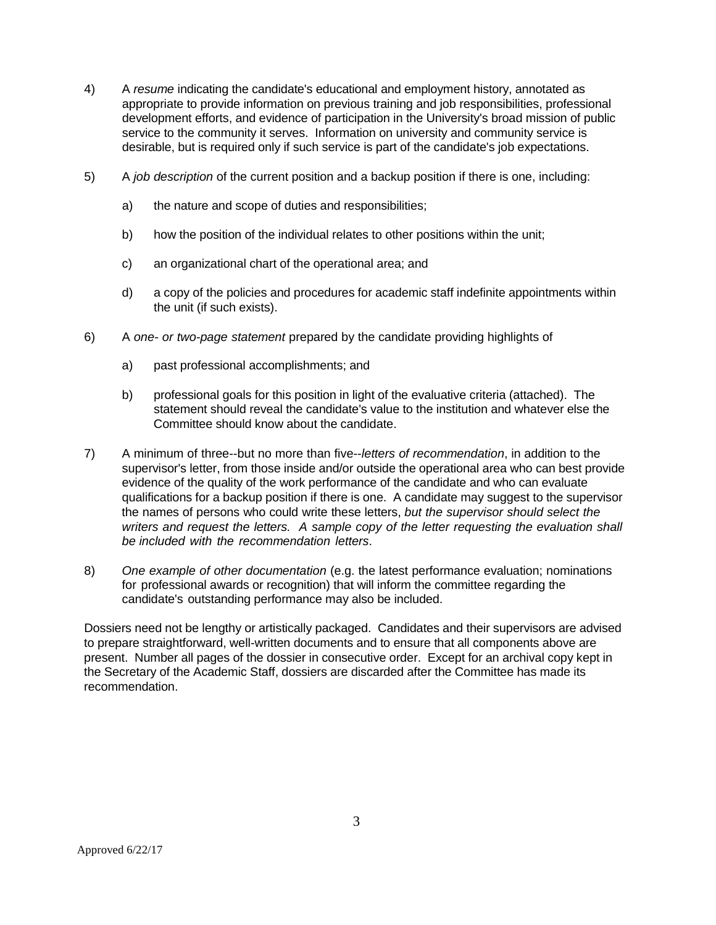- 4) A *resume* indicating the candidate's educational and employment history, annotated as appropriate to provide information on previous training and job responsibilities, professional development efforts, and evidence of participation in the University's broad mission of public service to the community it serves. Information on university and community service is desirable, but is required only if such service is part of the candidate's job expectations.
- 5) A *job description* of the current position and a backup position if there is one, including:
	- a) the nature and scope of duties and responsibilities;
	- b) how the position of the individual relates to other positions within the unit;
	- c) an organizational chart of the operational area; and
	- d) a copy of the policies and procedures for academic staff indefinite appointments within the unit (if such exists).
- 6) A *one- or two-page statement* prepared by the candidate providing highlights of
	- a) past professional accomplishments; and
	- b) professional goals for this position in light of the evaluative criteria (attached). The statement should reveal the candidate's value to the institution and whatever else the Committee should know about the candidate.
- 7) A minimum of three--but no more than five--*letters of recommendation*, in addition to the supervisor's letter, from those inside and/or outside the operational area who can best provide evidence of the quality of the work performance of the candidate and who can evaluate qualifications for a backup position if there is one. A candidate may suggest to the supervisor the names of persons who could write these letters, *but the supervisor should select the writers and request the letters. A sample copy of the letter requesting the evaluation shall be included with the recommendation letters*.
- 8) *One example of other documentation* (e.g. the latest performance evaluation; nominations for professional awards or recognition) that will inform the committee regarding the candidate's outstanding performance may also be included.

Dossiers need not be lengthy or artistically packaged. Candidates and their supervisors are advised to prepare straightforward, well-written documents and to ensure that all components above are present. Number all pages of the dossier in consecutive order. Except for an archival copy kept in the Secretary of the Academic Staff, dossiers are discarded after the Committee has made its recommendation.